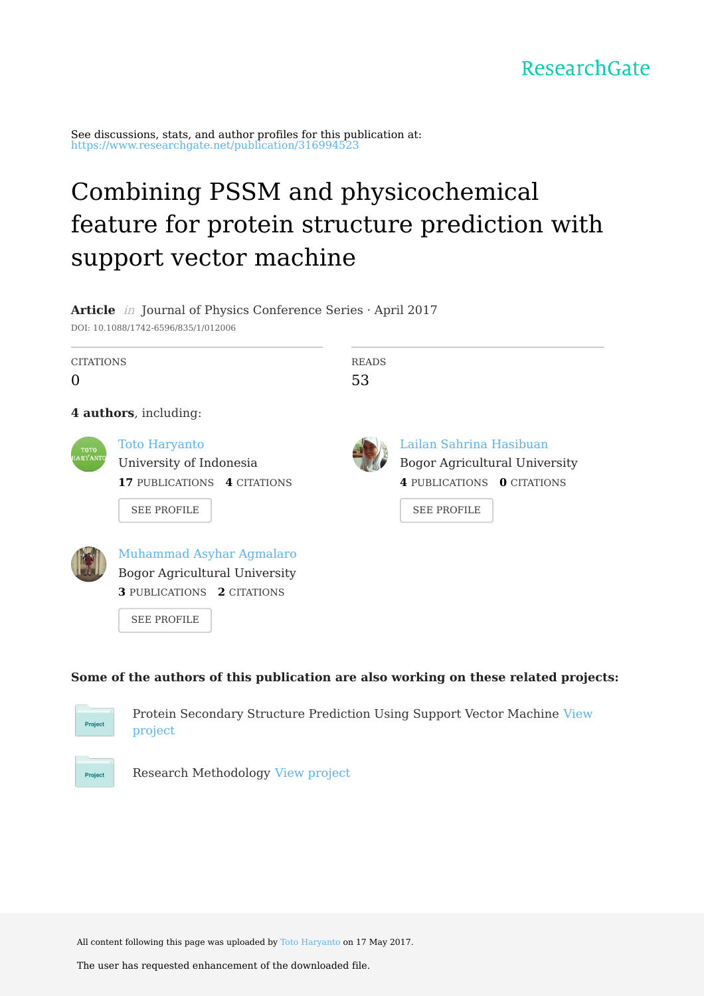See discussions, stats, and author profiles for this publication at: https://www.researchgate.net/publication/3169945

# Combining PSSM and [physicochemical](https://www.researchgate.net/publication/316994523_Combining_PSSM_and_physicochemical_feature_for_protein_structure_prediction_with_support_vector_machine?enrichId=rgreq-448a1f6e92663b487ab73a8f2da03444-XXX&enrichSource=Y292ZXJQYWdlOzMxNjk5NDUyMztBUzo0OTUwODUyMDQ3OTk0ODlAMTQ5NTA0ODkxOTkxOQ%3D%3D&el=1_x_3&_esc=publicationCoverPdf) feature for protein structure prediction with support vector machine

**Article** in Journal of Physics Conference Series · April 2017 DOI: 10.1088/1742-6596/835/1/012006

| <b>CITATIONS</b>        |                                                                                                                             | <b>READS</b> |                                                                                                                     |
|-------------------------|-----------------------------------------------------------------------------------------------------------------------------|--------------|---------------------------------------------------------------------------------------------------------------------|
| $\overline{0}$          |                                                                                                                             | 53           |                                                                                                                     |
|                         | 4 authors, including:                                                                                                       |              |                                                                                                                     |
| тото<br><b>HARYANTO</b> | <b>Toto Haryanto</b><br>University of Indonesia<br><b>17 PUBLICATIONS 4 CITATIONS</b><br><b>SEE PROFILE</b>                 |              | Lailan Sahrina Hasibuan<br><b>Bogor Agricultural University</b><br>4 PUBLICATIONS 0 CITATIONS<br><b>SEE PROFILE</b> |
|                         | Muhammad Asyhar Agmalaro<br><b>Bogor Agricultural University</b><br><b>3 PUBLICATIONS 2 CITATIONS</b><br><b>SEE PROFILE</b> |              |                                                                                                                     |

#### **Some of the authors of this publication are also working on these related projects:**



Protein [Secondary](https://www.researchgate.net/project/Protein-Secondary-Structure-Prediction-Using-Support-Vector-Machine?enrichId=rgreq-448a1f6e92663b487ab73a8f2da03444-XXX&enrichSource=Y292ZXJQYWdlOzMxNjk5NDUyMztBUzo0OTUwODUyMDQ3OTk0ODlAMTQ5NTA0ODkxOTkxOQ%3D%3D&el=1_x_9&_esc=publicationCoverPdf) Structure Prediction Using Support Vector Machine View project



Research Methodology View [project](https://www.researchgate.net/project/Research-Methodology-43?enrichId=rgreq-448a1f6e92663b487ab73a8f2da03444-XXX&enrichSource=Y292ZXJQYWdlOzMxNjk5NDUyMztBUzo0OTUwODUyMDQ3OTk0ODlAMTQ5NTA0ODkxOTkxOQ%3D%3D&el=1_x_9&_esc=publicationCoverPdf)

All content following this page was uploaded by Toto [Haryanto](https://www.researchgate.net/profile/Toto_Haryanto2?enrichId=rgreq-448a1f6e92663b487ab73a8f2da03444-XXX&enrichSource=Y292ZXJQYWdlOzMxNjk5NDUyMztBUzo0OTUwODUyMDQ3OTk0ODlAMTQ5NTA0ODkxOTkxOQ%3D%3D&el=1_x_10&_esc=publicationCoverPdf) on 17 May 2017.

The user has requested enhancement of the downloaded file.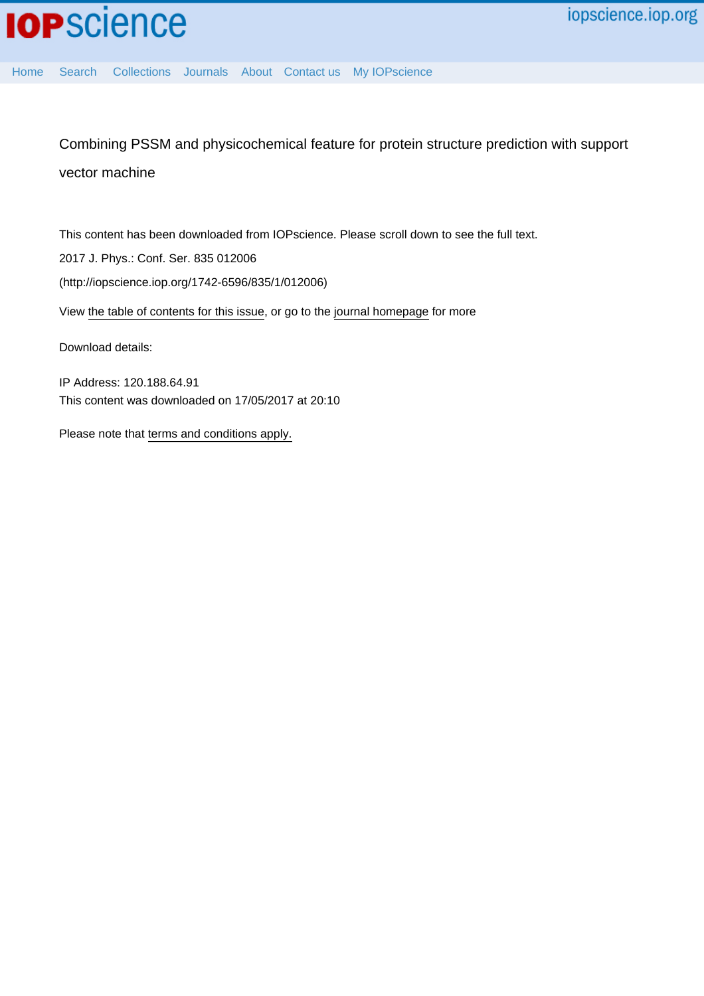Combining PSSM and physicochemical feature for protein structure prediction with support vector machine

This content has been downloaded from IOPscience. Please scroll down to see the full text.

2017 J. Phys.: Conf. Ser. 835 012006

(http://iopscience.iop.org/1742-6596/835/1/012006)

View [the table of contents for this issue](http://iopscience.iop.org/1742-6596/835/1), or go to the [journal homepage](http://iopscience.iop.org/1742-6596) for more

Download details:

IP Address: 120.188.64.91 This content was downloaded on 17/05/2017 at 20:10

Please note that [terms and conditions apply.](http://iopscience.iop.org/page/terms)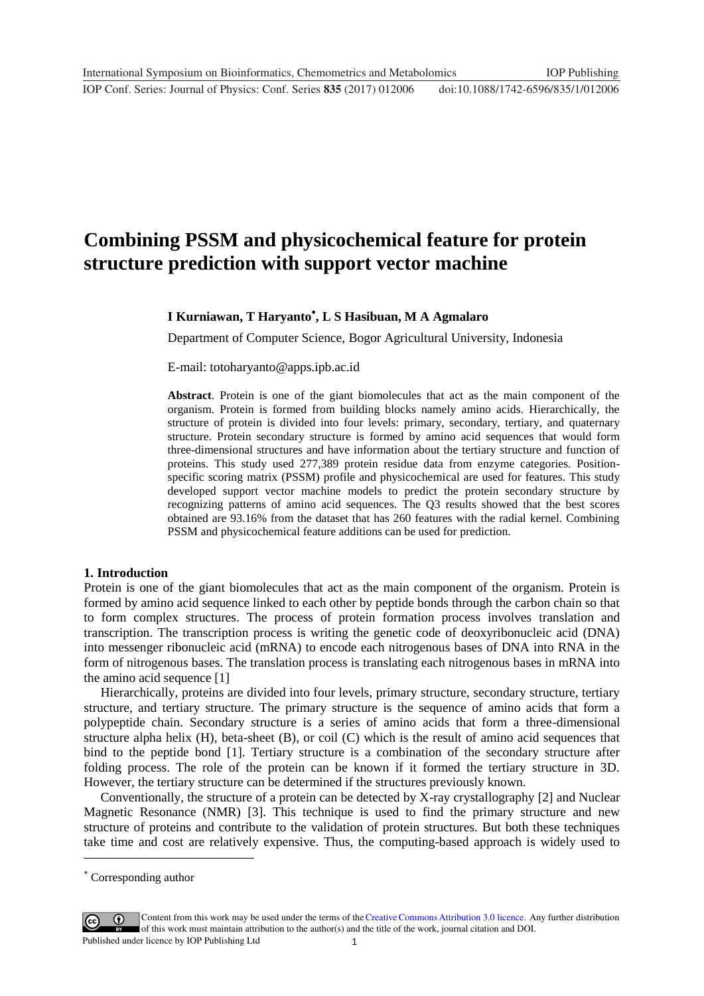## **Combining PSSM and physicochemical feature for protein structure prediction with support vector machine**

#### **I Kurniawan, T Haryanto , L S Hasibuan, M A Agmalaro**

Department of Computer Science, Bogor Agricultural University, Indonesia

E-mail: totoharyanto@apps.ipb.ac.id

**Abstract**. Protein is one of the giant biomolecules that act as the main component of the organism. Protein is formed from building blocks namely amino acids. Hierarchically, the structure of protein is divided into four levels: primary, secondary, tertiary, and quaternary structure. Protein secondary structure is formed by amino acid sequences that would form three-dimensional structures and have information about the tertiary structure and function of proteins. This study used 277,389 protein residue data from enzyme categories. Positionspecific scoring matrix (PSSM) profile and physicochemical are used for features. This study developed support vector machine models to predict the protein secondary structure by recognizing patterns of amino acid sequences. The Q3 results showed that the best scores obtained are 93.16% from the dataset that has 260 features with the radial kernel. Combining PSSM and physicochemical feature additions can be used for prediction.

#### **1. Introduction**

Protein is one of the giant biomolecules that act as the main component of the organism. Protein is formed by amino acid sequence linked to each other by peptide bonds through the carbon chain so that to form complex structures. The process of protein formation process involves translation and transcription. The transcription process is writing the genetic code of deoxyribonucleic acid (DNA) into messenger ribonucleic acid (mRNA) to encode each nitrogenous bases of DNA into RNA in the form of nitrogenous bases. The translation process is translating each nitrogenous bases in mRNA into the amino acid sequence [1]

Hierarchically, proteins are divided into four levels, primary structure, secondary structure, tertiary structure, and tertiary structure. The primary structure is the sequence of amino acids that form a polypeptide chain. Secondary structure is a series of amino acids that form a three-dimensional structure alpha helix (H), beta-sheet (B), or coil (C) which is the result of amino acid sequences that bind to the peptide bond [1]. Tertiary structure is a combination of the secondary structure after folding process. The role of the protein can be known if it formed the tertiary structure in 3D. However, the tertiary structure can be determined if the structures previously known.

Conventionally, the structure of a protein can be detected by X-ray crystallography [2] and Nuclear Magnetic Resonance (NMR) [3]. This technique is used to find the primary structure and new structure of proteins and contribute to the validation of protein structures. But both these techniques take time and cost are relatively expensive. Thus, the computing-based approach is widely used to

l

Content from this work may be used under the terms of the [Creative Commons Attribution 3.0 licence](http://creativecommons.org/licenses/by/3.0). Any further distribution of this work must maintain attribution to the author(s) and the title of the work, journal citation and DOI. Published under licence by IOP Publishing Ltd

Corresponding author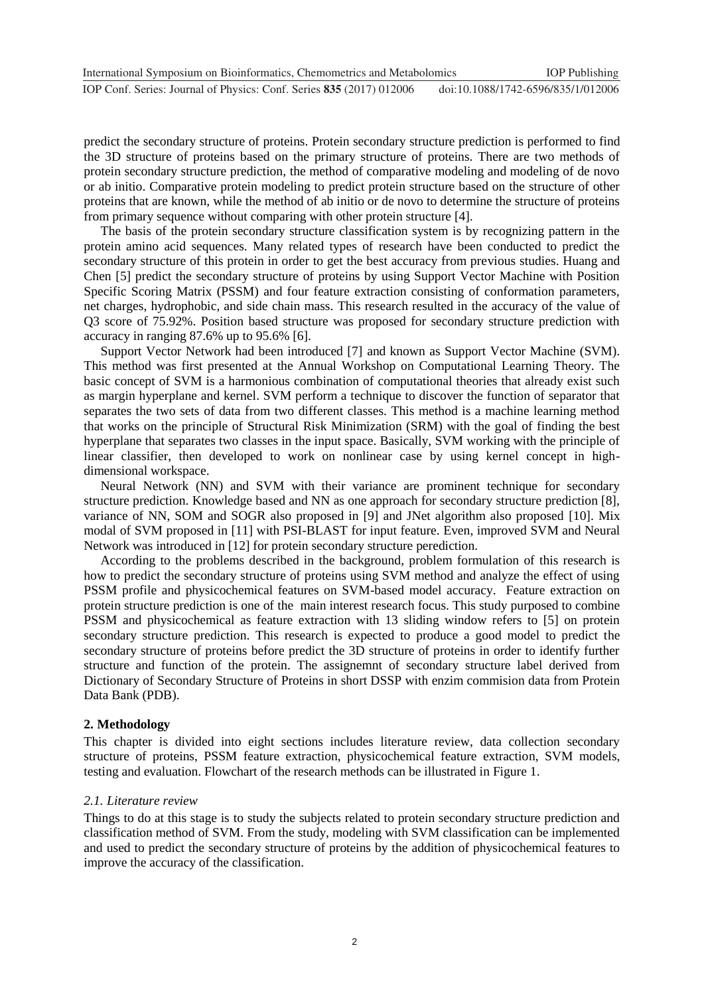predict the secondary structure of proteins. Protein secondary structure prediction is performed to find the 3D structure of proteins based on the primary structure of proteins. There are two methods of protein secondary structure prediction, the method of comparative modeling and modeling of de novo or ab initio. Comparative protein modeling to predict protein structure based on the structure of other proteins that are known, while the method of ab initio or de novo to determine the structure of proteins from primary sequence without comparing with other protein structure [4].

The basis of the protein secondary structure classification system is by recognizing pattern in the protein amino acid sequences. Many related types of research have been conducted to predict the secondary structure of this protein in order to get the best accuracy from previous studies. Huang and Chen [5] predict the secondary structure of proteins by using Support Vector Machine with Position Specific Scoring Matrix (PSSM) and four feature extraction consisting of conformation parameters, net charges, hydrophobic, and side chain mass. This research resulted in the accuracy of the value of Q3 score of 75.92%. Position based structure was proposed for secondary structure prediction with accuracy in ranging 87.6% up to 95.6% [6].

Support Vector Network had been introduced [7] and known as Support Vector Machine (SVM). This method was first presented at the Annual Workshop on Computational Learning Theory. The basic concept of SVM is a harmonious combination of computational theories that already exist such as margin hyperplane and kernel. SVM perform a technique to discover the function of separator that separates the two sets of data from two different classes. This method is a machine learning method that works on the principle of Structural Risk Minimization (SRM) with the goal of finding the best hyperplane that separates two classes in the input space. Basically, SVM working with the principle of linear classifier, then developed to work on nonlinear case by using kernel concept in highdimensional workspace.

Neural Network (NN) and SVM with their variance are prominent technique for secondary structure prediction. Knowledge based and NN as one approach for secondary structure prediction [8], variance of NN, SOM and SOGR also proposed in [9] and JNet algorithm also proposed [10]. Mix modal of SVM proposed in [11] with PSI-BLAST for input feature. Even, improved SVM and Neural Network was introduced in [12] for protein secondary structure perediction.

According to the problems described in the background, problem formulation of this research is how to predict the secondary structure of proteins using SVM method and analyze the effect of using PSSM profile and physicochemical features on SVM-based model accuracy. Feature extraction on protein structure prediction is one of the main interest research focus. This study purposed to combine PSSM and physicochemical as feature extraction with 13 sliding window refers to [5] on protein secondary structure prediction. This research is expected to produce a good model to predict the secondary structure of proteins before predict the 3D structure of proteins in order to identify further structure and function of the protein. The assignemnt of secondary structure label derived from Dictionary of Secondary Structure of Proteins in short DSSP with enzim commision data from Protein Data Bank (PDB).

#### **2. Methodology**

This chapter is divided into eight sections includes literature review, data collection secondary structure of proteins, PSSM feature extraction, physicochemical feature extraction, SVM models, testing and evaluation. Flowchart of the research methods can be illustrated in Figure 1.

#### *2.1. Literature review*

Things to do at this stage is to study the subjects related to protein secondary structure prediction and classification method of SVM. From the study, modeling with SVM classification can be implemented and used to predict the secondary structure of proteins by the addition of physicochemical features to improve the accuracy of the classification.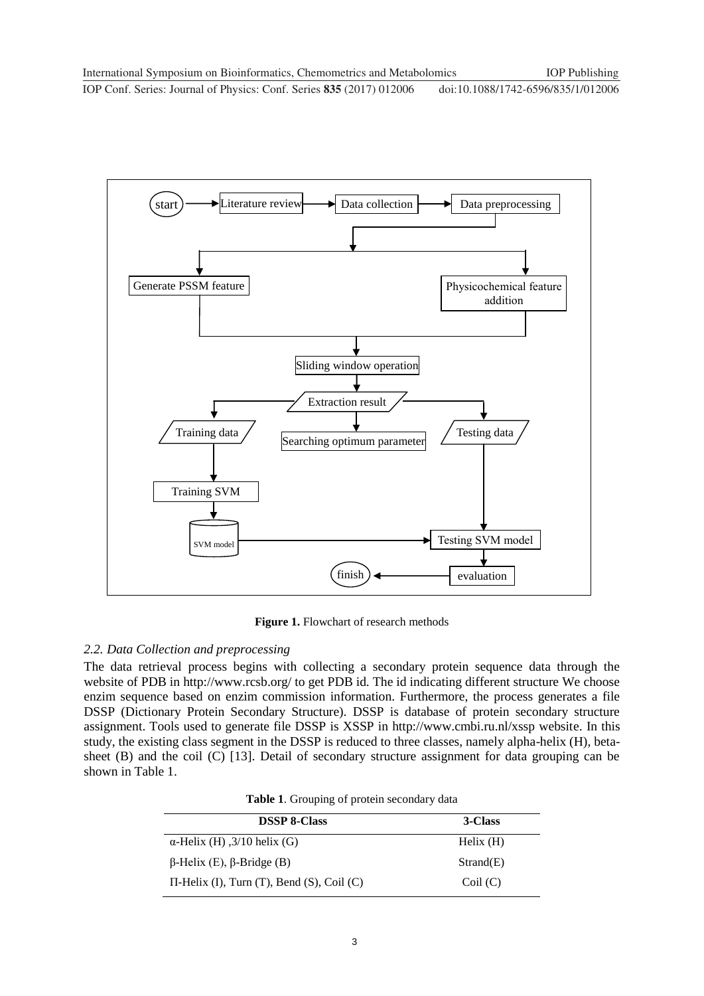**1234567890** IOP Conf. Series: Journal of Physics: Conf. Series **835** (2017) 012006 doi :10.1088/1742-6596/835/1/012006



**Figure 1.** Flowchart of research methods

#### *2.2. Data Collection and preprocessing*

The data retrieval process begins with collecting a secondary protein sequence data through the website of PDB in http://www.rcsb.org/ to get PDB id. The id indicating different structure We choose enzim sequence based on enzim commission information. Furthermore, the process generates a file DSSP (Dictionary Protein Secondary Structure). DSSP is database of protein secondary structure assignment. Tools used to generate file DSSP is XSSP in http://www.cmbi.ru.nl/xssp website. In this study, the existing class segment in the DSSP is reduced to three classes, namely alpha-helix (H), betasheet (B) and the coil (C) [13]. Detail of secondary structure assignment for data grouping can be shown in Table 1.

| <b>DSSP 8-Class</b>                            | 3-Class   |
|------------------------------------------------|-----------|
| $\alpha$ -Helix (H), 3/10 helix (G)            | Helix(H)  |
| $\beta$ -Helix (E), $\beta$ -Bridge (B)        | Strand(E) |
| $\Pi$ -Helix (I), Turn (T), Bend (S), Coil (C) | Coil(C)   |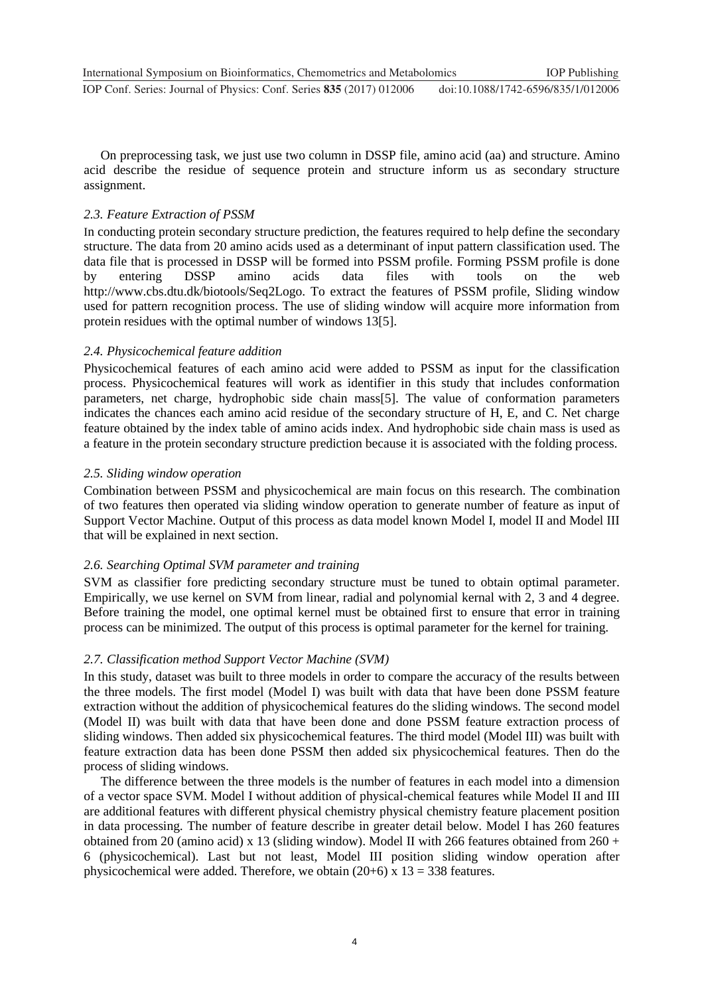On preprocessing task, we just use two column in DSSP file, amino acid (aa) and structure. Amino acid describe the residue of sequence protein and structure inform us as secondary structure assignment.

#### *2.3. Feature Extraction of PSSM*

In conducting protein secondary structure prediction, the features required to help define the secondary structure. The data from 20 amino acids used as a determinant of input pattern classification used. The data file that is processed in DSSP will be formed into PSSM profile. Forming PSSM profile is done by entering DSSP amino acids data files with tools on the web http://www.cbs.dtu.dk/biotools/Seq2Logo. To extract the features of PSSM profile, Sliding window used for pattern recognition process. The use of sliding window will acquire more information from protein residues with the optimal number of windows 13[5].

#### *2.4. Physicochemical feature addition*

Physicochemical features of each amino acid were added to PSSM as input for the classification process. Physicochemical features will work as identifier in this study that includes conformation parameters, net charge, hydrophobic side chain mass[5]. The value of conformation parameters indicates the chances each amino acid residue of the secondary structure of H, E, and C. Net charge feature obtained by the index table of amino acids index. And hydrophobic side chain mass is used as a feature in the protein secondary structure prediction because it is associated with the folding process.

#### *2.5. Sliding window operation*

Combination between PSSM and physicochemical are main focus on this research. The combination of two features then operated via sliding window operation to generate number of feature as input of Support Vector Machine. Output of this process as data model known Model I, model II and Model III that will be explained in next section.

#### *2.6. Searching Optimal SVM parameter and training*

SVM as classifier fore predicting secondary structure must be tuned to obtain optimal parameter. Empirically, we use kernel on SVM from linear, radial and polynomial kernal with 2, 3 and 4 degree. Before training the model, one optimal kernel must be obtained first to ensure that error in training process can be minimized. The output of this process is optimal parameter for the kernel for training.

#### *2.7. Classification method Support Vector Machine (SVM)*

In this study, dataset was built to three models in order to compare the accuracy of the results between the three models. The first model (Model I) was built with data that have been done PSSM feature extraction without the addition of physicochemical features do the sliding windows. The second model (Model II) was built with data that have been done and done PSSM feature extraction process of sliding windows. Then added six physicochemical features. The third model (Model III) was built with feature extraction data has been done PSSM then added six physicochemical features. Then do the process of sliding windows.

The difference between the three models is the number of features in each model into a dimension of a vector space SVM. Model I without addition of physical-chemical features while Model II and III are additional features with different physical chemistry physical chemistry feature placement position in data processing. The number of feature describe in greater detail below. Model I has 260 features obtained from 20 (amino acid) x 13 (sliding window). Model II with 266 features obtained from 260 + 6 (physicochemical). Last but not least, Model III position sliding window operation after physicochemical were added. Therefore, we obtain  $(20+6)$  x  $13 = 338$  features.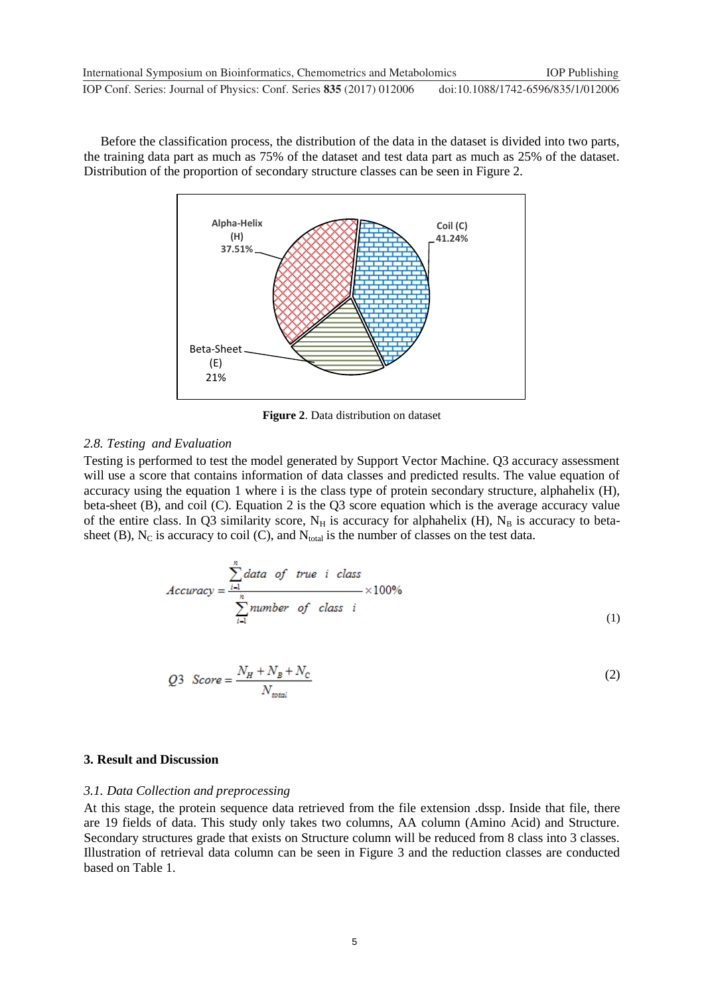Before the classification process, the distribution of the data in the dataset is divided into two parts, the training data part as much as 75% of the dataset and test data part as much as 25% of the dataset. Distribution of the proportion of secondary structure classes can be seen in Figure 2.



**Figure 2**. Data distribution on dataset

#### *2.8. Testing and Evaluation*

Testing is performed to test the model generated by Support Vector Machine. Q3 accuracy assessment will use a score that contains information of data classes and predicted results. The value equation of accuracy using the equation 1 where i is the class type of protein secondary structure, alphahelix (H), beta-sheet (B), and coil (C). Equation 2 is the Q3 score equation which is the average accuracy value of the entire class. In Q3 similarity score,  $N_H$  is accuracy for alphahelix (H),  $N_B$  is accuracy to betasheet (B),  $N_c$  is accuracy to coil (C), and  $N_{total}$  is the number of classes on the test data.

$$
Accuracy = \frac{\sum_{i=1}^{n} data \ of \ true \ i \ class}{\sum_{i=1}^{n} number \ of \ class \ i} \times 100\%
$$
\n(1)

$$
Q3 \quad Score = \frac{N_H + N_B + N_C}{N_{total}} \tag{2}
$$

#### **3. Result and Discussion**

#### *3.1. Data Collection and preprocessing*

At this stage, the protein sequence data retrieved from the file extension .dssp. Inside that file, there are 19 fields of data. This study only takes two columns, AA column (Amino Acid) and Structure. Secondary structures grade that exists on Structure column will be reduced from 8 class into 3 classes. Illustration of retrieval data column can be seen in Figure 3 and the reduction classes are conducted based on Table 1.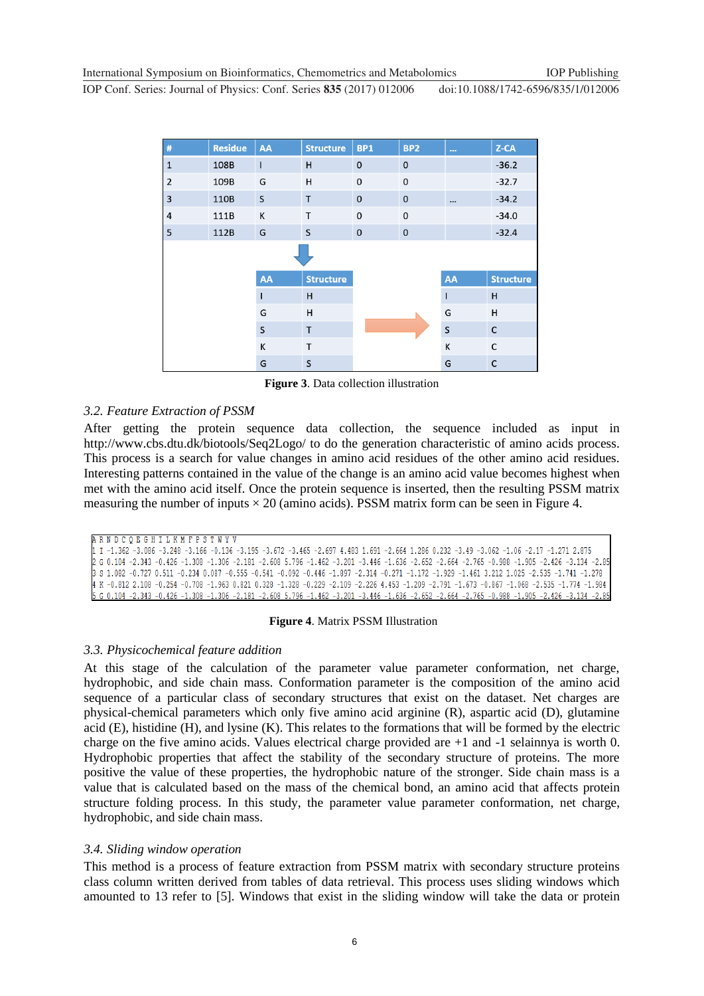**1234567890** IOP Conf. Series: Journal of Physics: Conf. Series **835** (2017) 012006 doi :10.1088/1742-6596/835/1/012006

| #              | <b>Residue</b> | AA                       | <b>Structure</b> | <b>BP1</b>   | <b>BP2</b>  | $\sim$   | Z-CA             |  |
|----------------|----------------|--------------------------|------------------|--------------|-------------|----------|------------------|--|
| $\mathbf{1}$   | 108B           | $\overline{\phantom{a}}$ | H                | $\mathbf 0$  | $\mathbf 0$ |          | $-36.2$          |  |
| $\overline{2}$ | 109B           | G                        | H                | $\mathbf 0$  | $\mathbf 0$ |          | $-32.7$          |  |
| 3              | 110B           | S                        | T                | $\mathbf{0}$ | $\mathbf 0$ | $\cdots$ | $-34.2$          |  |
| 4              | 111B           | К                        | $\mathsf{T}$     | $\mathbf 0$  | $\mathbf 0$ |          | $-34.0$          |  |
| 5              | 112B           | G                        | S                | $\mathbf 0$  | $\mathbf 0$ |          | $-32.4$          |  |
|                |                |                          |                  |              |             |          |                  |  |
|                |                | AA                       | <b>Structure</b> |              |             | AA       | <b>Structure</b> |  |
|                |                |                          | H                |              |             | I        | H                |  |
|                |                | G                        | н                |              |             | G        | H                |  |
|                |                | S                        | $\mathsf{T}$     |              |             | S        | $\mathsf{C}$     |  |
|                |                | К                        | Т                |              |             | K        | C                |  |
|                |                | G                        | S                |              |             | G        | $\mathsf{C}$     |  |

**Figure 3**. Data collection illustration

#### *3.2. Feature Extraction of PSSM*

After getting the protein sequence data collection, the sequence included as input in http://www.cbs.dtu.dk/biotools/Seq2Logo/ to do the generation characteristic of amino acids process. This process is a search for value changes in amino acid residues of the other amino acid residues. Interesting patterns contained in the value of the change is an amino acid value becomes highest when met with the amino acid itself. Once the protein sequence is inserted, then the resulting PSSM matrix measuring the number of inputs  $\times$  20 (amino acids). PSSM matrix form can be seen in Figure 4.

### ARND C Q E G H I L K M F P S T W Y V

1 1 -1.362 -3.086 -3.248 -3.166 -0.136 -3.195 -3.672 -3.465 -2.697 4.483 1.691 -2.664 1.286 0.232 -3.49 -3.062 -1.06 -2.17 -1.271 2.875 2 6 0.104 -2.343 -0.426 -1.308 -1.306 -2.181 -2.608 5.796 -1.462 -3.201 -3.446 -1.636 -2.652 -2.664 -2.765 -0.988 -1.905 -2.426 -3.134 -2.85 3 \$ 1.082 -0.727 0.511 -0.234 0.087 -0.555 -0.541 -0.092 -0.446 -1.897 -2.314 -0.271 -1.172 -1.929 -1.461 3.212 1.025 -2.535 -1.741 -1.278 4 K -0.812 2.108 -0.254 -0.708 -1.963 0.821 0.328 -1.328 -0.229 -2.109 -2.226 4.453 -1.209 -2.791 -1.673 -0.867 -1.068 -2.535 -1.774 -1.984 5 6 0.104 -2.343 -0.426 -1.308 -1.306 -2.181 -2.608 5.796 -1.462 -3.201 -3.446 -1.636 -2.652 -2.664 -2.765 -0.988 -1.905 -2.426 -3.134 -2.85

#### **Figure 4**. Matrix PSSM Illustration

#### *3.3. Physicochemical feature addition*

At this stage of the calculation of the parameter value parameter conformation, net charge, hydrophobic, and side chain mass. Conformation parameter is the composition of the amino acid sequence of a particular class of secondary structures that exist on the dataset. Net charges are physical-chemical parameters which only five amino acid arginine (R), aspartic acid (D), glutamine acid  $(E)$ , histidine  $(H)$ , and lysine  $(K)$ . This relates to the formations that will be formed by the electric charge on the five amino acids. Values electrical charge provided are +1 and -1 selainnya is worth 0. Hydrophobic properties that affect the stability of the secondary structure of proteins. The more positive the value of these properties, the hydrophobic nature of the stronger. Side chain mass is a value that is calculated based on the mass of the chemical bond, an amino acid that affects protein structure folding process. In this study, the parameter value parameter conformation, net charge, hydrophobic, and side chain mass.

#### *3.4. Sliding window operation*

This method is a process of feature extraction from PSSM matrix with secondary structure proteins class column written derived from tables of data retrieval. This process uses sliding windows which amounted to 13 refer to [5]. Windows that exist in the sliding window will take the data or protein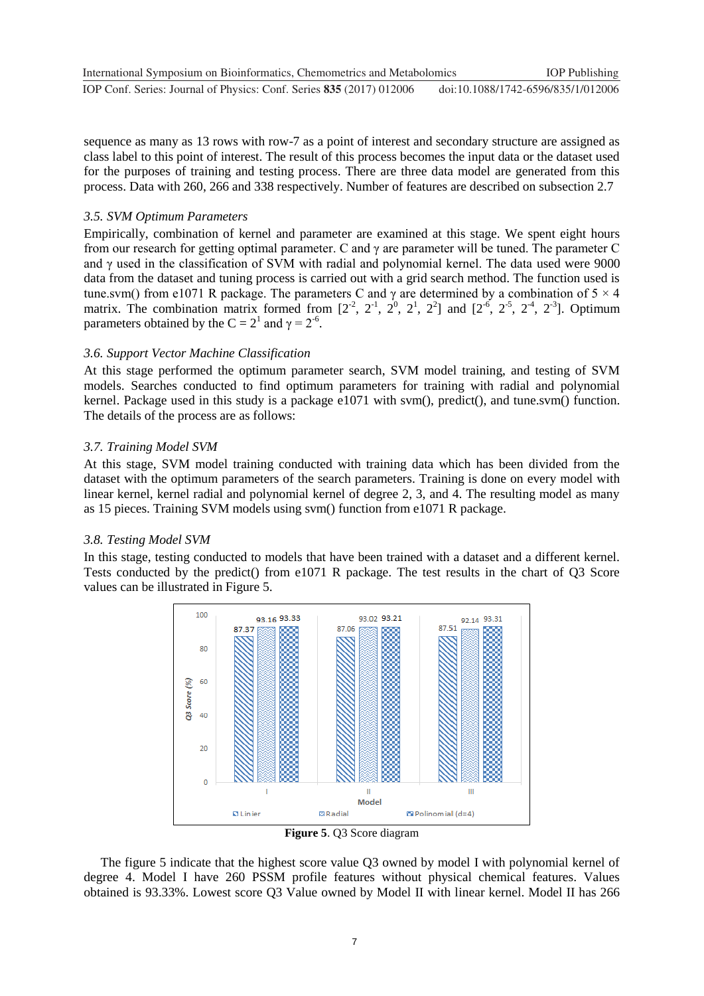| International Symposium on Bioinformatics, Chemometrics and Metabolomics | <b>IOP</b> Publishing              |
|--------------------------------------------------------------------------|------------------------------------|
| IOP Conf. Series: Journal of Physics: Conf. Series 835 (2017) 012006     | doi:10.1088/1742-6596/835/1/012006 |

sequence as many as 13 rows with row-7 as a point of interest and secondary structure are assigned as class label to this point of interest. The result of this process becomes the input data or the dataset used for the purposes of training and testing process. There are three data model are generated from this process. Data with 260, 266 and 338 respectively. Number of features are described on subsection 2.7

#### *3.5. SVM Optimum Parameters*

Empirically, combination of kernel and parameter are examined at this stage. We spent eight hours from our research for getting optimal parameter. C and γ are parameter will be tuned. The parameter C and  $\gamma$  used in the classification of SVM with radial and polynomial kernel. The data used were 9000 data from the dataset and tuning process is carried out with a grid search method. The function used is tune.svm() from e1071 R package. The parameters C and  $\gamma$  are determined by a combination of  $5 \times 4$ matrix. The combination matrix formed from  $[2^2, 2^1, 2^0, 2^1, 2^2]$  and  $[2^6, 2^5, 2^4, 2^3]$ . Optimum parameters obtained by the C =  $2^1$  and γ =  $2^{-6}$ .

#### *3.6. Support Vector Machine Classification*

At this stage performed the optimum parameter search, SVM model training, and testing of SVM models. Searches conducted to find optimum parameters for training with radial and polynomial kernel. Package used in this study is a package e1071 with svm(), predict(), and tune.svm() function. The details of the process are as follows:

#### *3.7. Training Model SVM*

At this stage, SVM model training conducted with training data which has been divided from the dataset with the optimum parameters of the search parameters. Training is done on every model with linear kernel, kernel radial and polynomial kernel of degree 2, 3, and 4. The resulting model as many as 15 pieces. Training SVM models using svm() function from e1071 R package.

#### *3.8. Testing Model SVM*

In this stage, testing conducted to models that have been trained with a dataset and a different kernel. Tests conducted by the predict() from e1071 R package. The test results in the chart of Q3 Score values can be illustrated in Figure 5.





The figure 5 indicate that the highest score value Q3 owned by model I with polynomial kernel of degree 4. Model I have 260 PSSM profile features without physical chemical features. Values obtained is 93.33%. Lowest score Q3 Value owned by Model II with linear kernel. Model II has 266